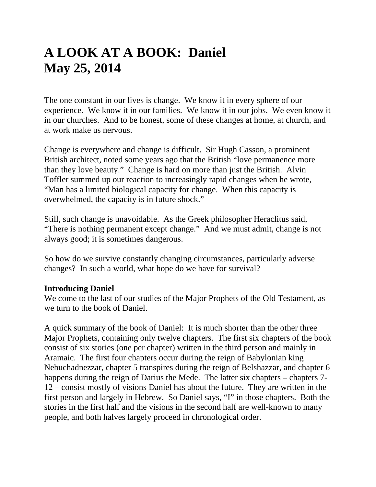# **A LOOK AT A BOOK: Daniel May 25, 2014**

The one constant in our lives is change. We know it in every sphere of our experience. We know it in our families. We know it in our jobs. We even know it in our churches. And to be honest, some of these changes at home, at church, and at work make us nervous.

Change is everywhere and change is difficult. Sir Hugh Casson, a prominent British architect, noted some years ago that the British "love permanence more than they love beauty." Change is hard on more than just the British. Alvin Toffler summed up our reaction to increasingly rapid changes when he wrote, "Man has a limited biological capacity for change. When this capacity is overwhelmed, the capacity is in future shock."

Still, such change is unavoidable. As the Greek philosopher Heraclitus said, "There is nothing permanent except change." And we must admit, change is not always good; it is sometimes dangerous.

So how do we survive constantly changing circumstances, particularly adverse changes? In such a world, what hope do we have for survival?

#### **Introducing Daniel**

We come to the last of our studies of the Major Prophets of the Old Testament, as we turn to the book of Daniel.

A quick summary of the book of Daniel: It is much shorter than the other three Major Prophets, containing only twelve chapters. The first six chapters of the book consist of six stories (one per chapter) written in the third person and mainly in Aramaic. The first four chapters occur during the reign of Babylonian king Nebuchadnezzar, chapter 5 transpires during the reign of Belshazzar, and chapter 6 happens during the reign of Darius the Mede. The latter six chapters – chapters 7-12 – consist mostly of visions Daniel has about the future. They are written in the first person and largely in Hebrew. So Daniel says, "I" in those chapters. Both the stories in the first half and the visions in the second half are well-known to many people, and both halves largely proceed in chronological order.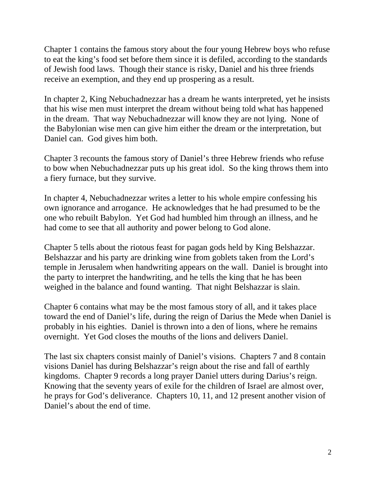Chapter 1 contains the famous story about the four young Hebrew boys who refuse to eat the king's food set before them since it is defiled, according to the standards of Jewish food laws. Though their stance is risky, Daniel and his three friends receive an exemption, and they end up prospering as a result.

In chapter 2, King Nebuchadnezzar has a dream he wants interpreted, yet he insists that his wise men must interpret the dream without being told what has happened in the dream. That way Nebuchadnezzar will know they are not lying. None of the Babylonian wise men can give him either the dream or the interpretation, but Daniel can. God gives him both.

Chapter 3 recounts the famous story of Daniel's three Hebrew friends who refuse to bow when Nebuchadnezzar puts up his great idol. So the king throws them into a fiery furnace, but they survive.

In chapter 4, Nebuchadnezzar writes a letter to his whole empire confessing his own ignorance and arrogance. He acknowledges that he had presumed to be the one who rebuilt Babylon. Yet God had humbled him through an illness, and he had come to see that all authority and power belong to God alone.

Chapter 5 tells about the riotous feast for pagan gods held by King Belshazzar. Belshazzar and his party are drinking wine from goblets taken from the Lord's temple in Jerusalem when handwriting appears on the wall. Daniel is brought into the party to interpret the handwriting, and he tells the king that he has been weighed in the balance and found wanting. That night Belshazzar is slain.

Chapter 6 contains what may be the most famous story of all, and it takes place toward the end of Daniel's life, during the reign of Darius the Mede when Daniel is probably in his eighties. Daniel is thrown into a den of lions, where he remains overnight. Yet God closes the mouths of the lions and delivers Daniel.

The last six chapters consist mainly of Daniel's visions. Chapters 7 and 8 contain visions Daniel has during Belshazzar's reign about the rise and fall of earthly kingdoms. Chapter 9 records a long prayer Daniel utters during Darius's reign. Knowing that the seventy years of exile for the children of Israel are almost over, he prays for God's deliverance. Chapters 10, 11, and 12 present another vision of Daniel's about the end of time.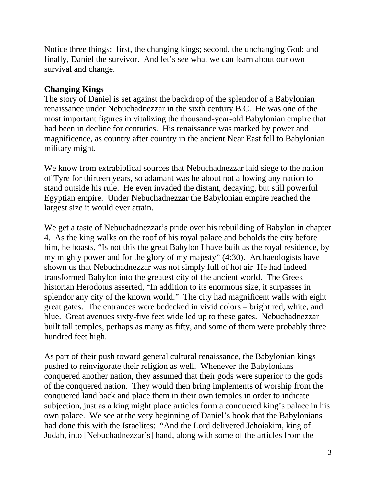Notice three things: first, the changing kings; second, the unchanging God; and finally, Daniel the survivor. And let's see what we can learn about our own survival and change.

### **Changing Kings**

The story of Daniel is set against the backdrop of the splendor of a Babylonian renaissance under Nebuchadnezzar in the sixth century B.C. He was one of the most important figures in vitalizing the thousand-year-old Babylonian empire that had been in decline for centuries. His renaissance was marked by power and magnificence, as country after country in the ancient Near East fell to Babylonian military might.

We know from extrabiblical sources that Nebuchadnezzar laid siege to the nation of Tyre for thirteen years, so adamant was he about not allowing any nation to stand outside his rule. He even invaded the distant, decaying, but still powerful Egyptian empire. Under Nebuchadnezzar the Babylonian empire reached the largest size it would ever attain.

We get a taste of Nebuchadnezzar's pride over his rebuilding of Babylon in chapter 4. As the king walks on the roof of his royal palace and beholds the city before him, he boasts, "Is not this the great Babylon I have built as the royal residence, by my mighty power and for the glory of my majesty" (4:30). Archaeologists have shown us that Nebuchadnezzar was not simply full of hot air He had indeed transformed Babylon into the greatest city of the ancient world. The Greek historian Herodotus asserted, "In addition to its enormous size, it surpasses in splendor any city of the known world." The city had magnificent walls with eight great gates. The entrances were bedecked in vivid colors – bright red, white, and blue. Great avenues sixty-five feet wide led up to these gates. Nebuchadnezzar built tall temples, perhaps as many as fifty, and some of them were probably three hundred feet high.

As part of their push toward general cultural renaissance, the Babylonian kings pushed to reinvigorate their religion as well. Whenever the Babylonians conquered another nation, they assumed that their gods were superior to the gods of the conquered nation. They would then bring implements of worship from the conquered land back and place them in their own temples in order to indicate subjection, just as a king might place articles form a conquered king's palace in his own palace. We see at the very beginning of Daniel's book that the Babylonians had done this with the Israelites: "And the Lord delivered Jehoiakim, king of Judah, into [Nebuchadnezzar's] hand, along with some of the articles from the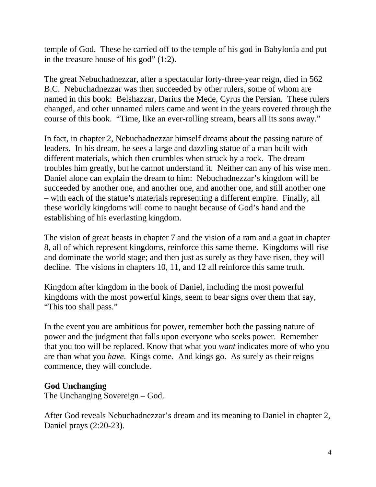temple of God. These he carried off to the temple of his god in Babylonia and put in the treasure house of his god" (1:2).

The great Nebuchadnezzar, after a spectacular forty-three-year reign, died in 562 B.C. Nebuchadnezzar was then succeeded by other rulers, some of whom are named in this book: Belshazzar, Darius the Mede, Cyrus the Persian. These rulers changed, and other unnamed rulers came and went in the years covered through the course of this book. "Time, like an ever-rolling stream, bears all its sons away."

In fact, in chapter 2, Nebuchadnezzar himself dreams about the passing nature of leaders. In his dream, he sees a large and dazzling statue of a man built with different materials, which then crumbles when struck by a rock. The dream troubles him greatly, but he cannot understand it. Neither can any of his wise men. Daniel alone can explain the dream to him: Nebuchadnezzar's kingdom will be succeeded by another one, and another one, and another one, and still another one – with each of the statue's materials representing a different empire. Finally, all these worldly kingdoms will come to naught because of God's hand and the establishing of his everlasting kingdom.

The vision of great beasts in chapter 7 and the vision of a ram and a goat in chapter 8, all of which represent kingdoms, reinforce this same theme. Kingdoms will rise and dominate the world stage; and then just as surely as they have risen, they will decline. The visions in chapters 10, 11, and 12 all reinforce this same truth.

Kingdom after kingdom in the book of Daniel, including the most powerful kingdoms with the most powerful kings, seem to bear signs over them that say, "This too shall pass."

In the event you are ambitious for power, remember both the passing nature of power and the judgment that falls upon everyone who seeks power. Remember that you too will be replaced. Know that what you *want* indicates more of who you are than what you *have*. Kings come. And kings go. As surely as their reigns commence, they will conclude.

#### **God Unchanging**

The Unchanging Sovereign – God.

After God reveals Nebuchadnezzar's dream and its meaning to Daniel in chapter 2, Daniel prays (2:20-23).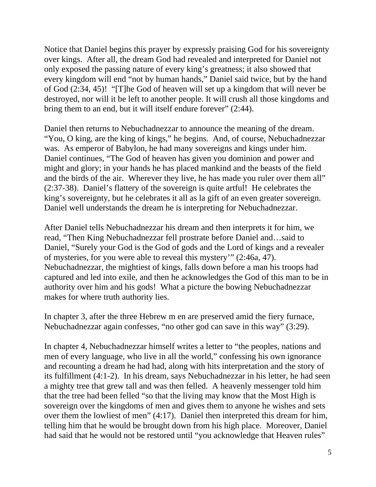Notice that Daniel begins this prayer by expressly praising God for his sovereignty over kings. After all, the dream God had revealed and interpreted for Daniel not only exposed the passing nature of every king's greatness; it also showed that every kingdom will end "not by human hands," Daniel said twice, but by the hand of God (2:34, 45)! "[T]he God of heaven will set up a kingdom that will never be destroyed, nor will it be left to another people. It will crush all those kingdoms and bring them to an end, but it will itself endure forever" (2:44).

Daniel then returns to Nebuchadnezzar to announce the meaning of the dream. "You, O king, are the king of kings," he begins. And, of course, Nebuchadnezzar was. As emperor of Babylon, he had many sovereigns and kings under him. Daniel continues, "The God of heaven has given you dominion and power and might and glory; in your hands he has placed mankind and the beasts of the field and the birds of the air. Wherever they live, he has made you ruler over them all" (2:37-38). Daniel's flattery of the sovereign is quite artful! He celebrates the king's sovereignty, but he celebrates it all as la gift of an even greater sovereign. Daniel well understands the dream he is interpreting for Nebuchadnezzar.

After Daniel tells Nebuchadnezzar his dream and then interprets it for him, we read, "Then King Nebuchadnezzar fell prostrate before Daniel and…said to Daniel, "Surely your God is the God of gods and the Lord of kings and a revealer of mysteries, for you were able to reveal this mystery'" (2:46a, 47). Nebuchadnezzar, the mightiest of kings, falls down before a man his troops had captured and led into exile, and then he acknowledges the God of this man to be in authority over him and his gods! What a picture the bowing Nebuchadnezzar makes for where truth authority lies.

In chapter 3, after the three Hebrew m en are preserved amid the fiery furnace, Nebuchadnezzar again confesses, "no other god can save in this way" (3:29).

In chapter 4, Nebuchadnezzar himself writes a letter to "the peoples, nations and men of every language, who live in all the world," confessing his own ignorance and recounting a dream he had had, along with hits interpretation and the story of its fulfillment (4:1-2). In his dream, says Nebuchadnezzar in his letter, he had seen a mighty tree that grew tall and was then felled. A heavenly messenger told him that the tree had been felled "so that the living may know that the Most High is sovereign over the kingdoms of men and gives them to anyone he wishes and sets over them the lowliest of men" (4:17). Daniel then interpreted this dream for him, telling him that he would be brought down from his high place. Moreover, Daniel had said that he would not be restored until "you acknowledge that Heaven rules"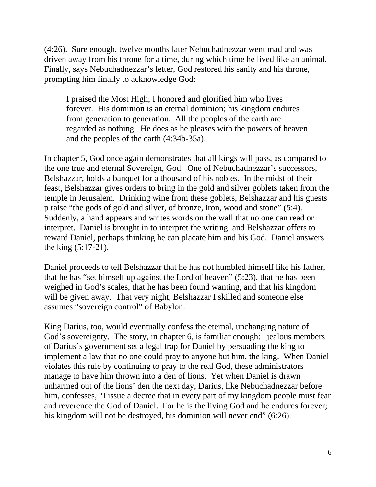(4:26). Sure enough, twelve months later Nebuchadnezzar went mad and was driven away from his throne for a time, during which time he lived like an animal. Finally, says Nebuchadnezzar's letter, God restored his sanity and his throne, prompting him finally to acknowledge God:

I praised the Most High; I honored and glorified him who lives forever. His dominion is an eternal dominion; his kingdom endures from generation to generation. All the peoples of the earth are regarded as nothing. He does as he pleases with the powers of heaven and the peoples of the earth (4:34b-35a).

In chapter 5, God once again demonstrates that all kings will pass, as compared to the one true and eternal Sovereign, God. One of Nebuchadnezzar's successors, Belshazzar, holds a banquet for a thousand of his nobles. In the midst of their feast, Belshazzar gives orders to bring in the gold and silver goblets taken from the temple in Jerusalem. Drinking wine from these goblets, Belshazzar and his guests p raise "the gods of gold and silver, of bronze, iron, wood and stone" (5:4). Suddenly, a hand appears and writes words on the wall that no one can read or interpret. Daniel is brought in to interpret the writing, and Belshazzar offers to reward Daniel, perhaps thinking he can placate him and his God. Daniel answers the king (5:17-21).

Daniel proceeds to tell Belshazzar that he has not humbled himself like his father, that he has "set himself up against the Lord of heaven" (5:23), that he has been weighed in God's scales, that he has been found wanting, and that his kingdom will be given away. That very night, Belshazzar I skilled and someone else assumes "sovereign control" of Babylon.

King Darius, too, would eventually confess the eternal, unchanging nature of God's sovereignty. The story, in chapter 6, is familiar enough: jealous members of Darius's government set a legal trap for Daniel by persuading the king to implement a law that no one could pray to anyone but him, the king. When Daniel violates this rule by continuing to pray to the real God, these administrators manage to have him thrown into a den of lions. Yet when Daniel is drawn unharmed out of the lions' den the next day, Darius, like Nebuchadnezzar before him, confesses, "I issue a decree that in every part of my kingdom people must fear and reverence the God of Daniel. For he is the living God and he endures forever; his kingdom will not be destroyed, his dominion will never end" (6:26).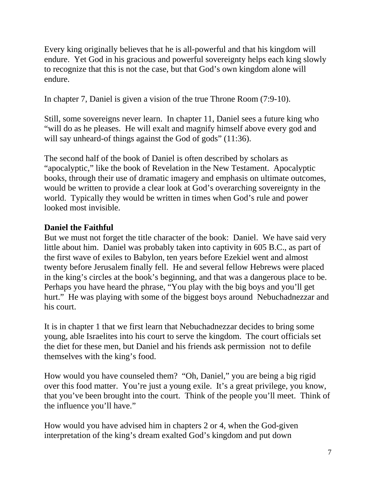Every king originally believes that he is all-powerful and that his kingdom will endure. Yet God in his gracious and powerful sovereignty helps each king slowly to recognize that this is not the case, but that God's own kingdom alone will endure.

In chapter 7, Daniel is given a vision of the true Throne Room (7:9-10).

Still, some sovereigns never learn. In chapter 11, Daniel sees a future king who "will do as he pleases. He will exalt and magnify himself above every god and will say unheard-of things against the God of gods" (11:36).

The second half of the book of Daniel is often described by scholars as "apocalyptic," like the book of Revelation in the New Testament. Apocalyptic books, through their use of dramatic imagery and emphasis on ultimate outcomes, would be written to provide a clear look at God's overarching sovereignty in the world. Typically they would be written in times when God's rule and power looked most invisible.

## **Daniel the Faithful**

But we must not forget the title character of the book: Daniel. We have said very little about him. Daniel was probably taken into captivity in 605 B.C., as part of the first wave of exiles to Babylon, ten years before Ezekiel went and almost twenty before Jerusalem finally fell. He and several fellow Hebrews were placed in the king's circles at the book's beginning, and that was a dangerous place to be. Perhaps you have heard the phrase, "You play with the big boys and you'll get hurt." He was playing with some of the biggest boys around Nebuchadnezzar and his court.

It is in chapter 1 that we first learn that Nebuchadnezzar decides to bring some young, able Israelites into his court to serve the kingdom. The court officials set the diet for these men, but Daniel and his friends ask permission not to defile themselves with the king's food.

How would you have counseled them? "Oh, Daniel," you are being a big rigid over this food matter. You're just a young exile. It's a great privilege, you know, that you've been brought into the court. Think of the people you'll meet. Think of the influence you'll have."

How would you have advised him in chapters 2 or 4, when the God-given interpretation of the king's dream exalted God's kingdom and put down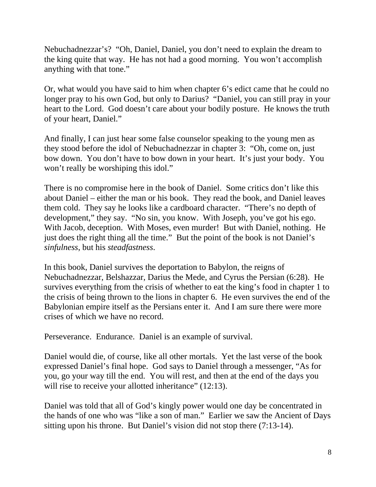Nebuchadnezzar's? "Oh, Daniel, Daniel, you don't need to explain the dream to the king quite that way. He has not had a good morning. You won't accomplish anything with that tone."

Or, what would you have said to him when chapter 6's edict came that he could no longer pray to his own God, but only to Darius? "Daniel, you can still pray in your heart to the Lord. God doesn't care about your bodily posture. He knows the truth of your heart, Daniel."

And finally, I can just hear some false counselor speaking to the young men as they stood before the idol of Nebuchadnezzar in chapter 3: "Oh, come on, just bow down. You don't have to bow down in your heart. It's just your body. You won't really be worshiping this idol."

There is no compromise here in the book of Daniel. Some critics don't like this about Daniel – either the man or his book. They read the book, and Daniel leaves them cold. They say he looks like a cardboard character. "There's no depth of development," they say. "No sin, you know. With Joseph, you've got his ego. With Jacob, deception. With Moses, even murder! But with Daniel, nothing. He just does the right thing all the time." But the point of the book is not Daniel's *sinfulness*, but his *steadfastness*.

In this book, Daniel survives the deportation to Babylon, the reigns of Nebuchadnezzar, Belshazzar, Darius the Mede, and Cyrus the Persian (6:28). He survives everything from the crisis of whether to eat the king's food in chapter 1 to the crisis of being thrown to the lions in chapter 6. He even survives the end of the Babylonian empire itself as the Persians enter it. And I am sure there were more crises of which we have no record.

Perseverance. Endurance. Daniel is an example of survival.

Daniel would die, of course, like all other mortals. Yet the last verse of the book expressed Daniel's final hope. God says to Daniel through a messenger, "As for you, go your way till the end. You will rest, and then at the end of the days you will rise to receive your allotted inheritance" (12:13).

Daniel was told that all of God's kingly power would one day be concentrated in the hands of one who was "like a son of man." Earlier we saw the Ancient of Days sitting upon his throne. But Daniel's vision did not stop there (7:13-14).